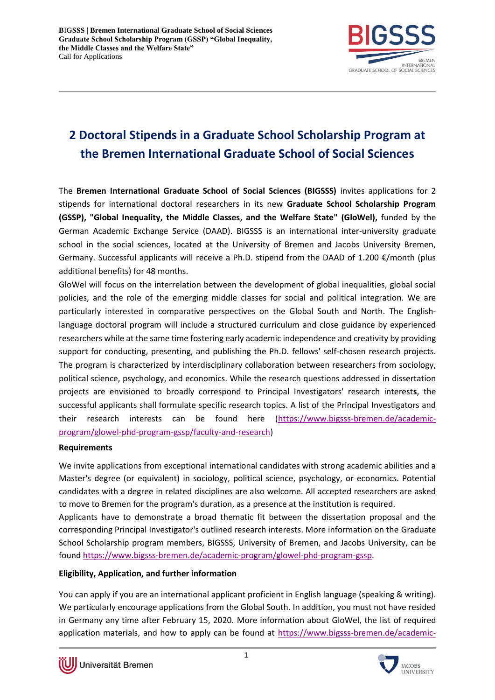

## **2 Doctoral Stipends in a Graduate School Scholarship Program at the Bremen International Graduate School of Social Sciences**

The **Bremen International Graduate School of Social Sciences (BIGSSS)** invites applications for 2 stipends for international doctoral researchers in its new **Graduate School Scholarship Program (GSSP), "Global Inequality, the Middle Classes, and the Welfare State" (GloWel),** funded by the German Academic Exchange Service (DAAD). BIGSSS is an international inter-university graduate school in the social sciences, located at the University of Bremen and Jacobs University Bremen, Germany. Successful applicants will receive a Ph.D. stipend from the DAAD of 1.200  $\epsilon$ /month (plus additional benefits) for 48 months.

GloWel will focus on the interrelation between the development of global inequalities, global social policies, and the role of the emerging middle classes for social and political integration. We are particularly interested in comparative perspectives on the Global South and North. The Englishlanguage doctoral program will include a structured curriculum and close guidance by experienced researchers while at the same time fostering early academic independence and creativity by providing support for conducting, presenting, and publishing the Ph.D. fellows' self-chosen research projects. The program is characterized by interdisciplinary collaboration between researchers from sociology, political science, psychology, and economics. While the research questions addressed in dissertation projects are envisioned to broadly correspond to Principal Investigators' research interest**s**, the successful applicants shall formulate specific research topics. A list of the Principal Investigators and their research interests can be found here [\(https://www.bigsss-bremen.de/academic](https://www.bigsss-bremen.de/academic-program/glowel-phd-program-gssp/faculty-and-research)[program/glowel-phd-program-gssp/faculty-and-research\)](https://www.bigsss-bremen.de/academic-program/glowel-phd-program-gssp/faculty-and-research)

## **Requirements**

We invite applications from exceptional international candidates with strong academic abilities and a Master's degree (or equivalent) in sociology, political science, psychology, or economics. Potential candidates with a degree in related disciplines are also welcome. All accepted researchers are asked to move to Bremen for the program's duration, as a presence at the institution is required.

Applicants have to demonstrate a broad thematic fit between the dissertation proposal and the corresponding Principal Investigator's outlined research interests. More information on the Graduate School Scholarship program members, BIGSSS, University of Bremen, and Jacobs University, can be found [https://www.bigsss-bremen.de/academic-program/glowel-phd-program-gssp.](https://www.bigsss-bremen.de/academic-program/glowel-phd-program-gssp)

## **Eligibility, Application, and further information**

You can apply if you are an international applicant proficient in English language (speaking & writing). We particularly encourage applications from the Global South. In addition, you must not have resided in Germany any time after February 15, 2020. More information about GloWel, the list of required application materials, and how to apply can be found at [https://www.bigsss-bremen.de/academic-](https://www.bigsss-bremen.de/academic-program/glowel-phd-program-gssp/admissions)